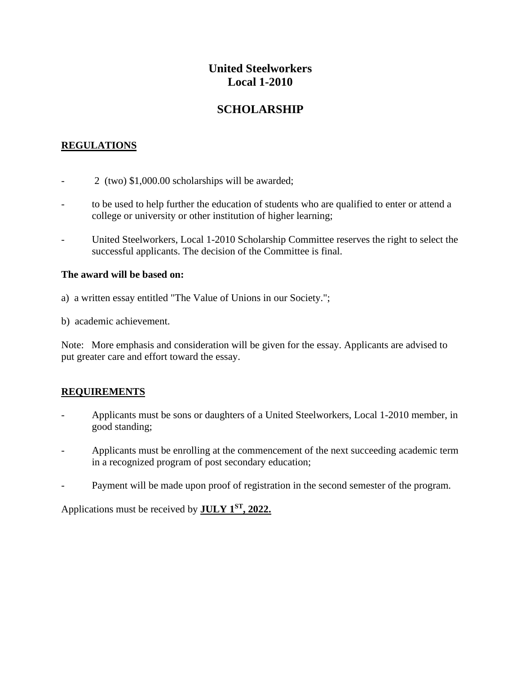# **United Steelworkers Local 1-2010**

# **SCHOLARSHIP**

### **REGULATIONS**

- $2$  (two) \$1,000.00 scholarships will be awarded;
- to be used to help further the education of students who are qualified to enter or attend a college or university or other institution of higher learning;
- United Steelworkers, Local 1-2010 Scholarship Committee reserves the right to select the successful applicants. The decision of the Committee is final.

#### **The award will be based on:**

- a) a written essay entitled "The Value of Unions in our Society.";
- b) academic achievement.

Note: More emphasis and consideration will be given for the essay. Applicants are advised to put greater care and effort toward the essay.

#### **REQUIREMENTS**

- Applicants must be sons or daughters of a United Steelworkers, Local 1-2010 member, in good standing;
- Applicants must be enrolling at the commencement of the next succeeding academic term in a recognized program of post secondary education;
- Payment will be made upon proof of registration in the second semester of the program.

Applications must be received by **JULY 1 ST, 2022.**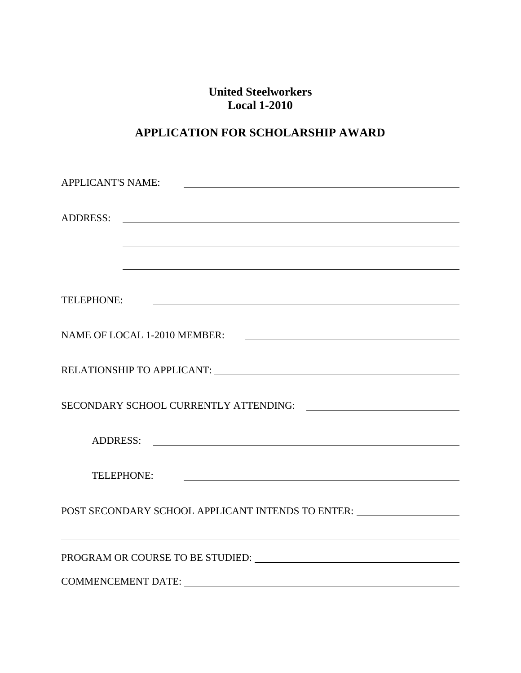# **United Steelworkers Local 1-2010**

# **APPLICATION FOR SCHOLARSHIP AWARD**

| <b>APPLICANT'S NAME:</b><br><u> 1989 - Johann Barbara, martin amerikan basal dan berasal dalam basal dalam basal dalam basal dalam basal dala</u>                                                                            |
|------------------------------------------------------------------------------------------------------------------------------------------------------------------------------------------------------------------------------|
| <b>ADDRESS:</b><br><u> 1989 - Johann Harry Harry Harry Harry Harry Harry Harry Harry Harry Harry Harry Harry Harry Harry Harry Harry</u><br>,我们也不会有什么。""我们的人,我们也不会有什么?""我们的人,我们也不会有什么?""我们的人,我们也不会有什么?""我们的人,我们也不会有什么?""我们的人 |
| TELEPHONE:<br><u> 1980 - Jan Samuel Barbara, margaret eta idazlearia (h. 1980).</u>                                                                                                                                          |
| NAME OF LOCAL 1-2010 MEMBER:<br><u> 1980 - Andrea Brand, amerikansk politik (</u>                                                                                                                                            |
|                                                                                                                                                                                                                              |
|                                                                                                                                                                                                                              |
|                                                                                                                                                                                                                              |
| TELEPHONE:<br><u> 1989 - Johann Harry Harry Harry Harry Harry Harry Harry Harry Harry Harry Harry Harry Harry Harry Harry Harry</u>                                                                                          |
| POST SECONDARY SCHOOL APPLICANT INTENDS TO ENTER: ________________________                                                                                                                                                   |
|                                                                                                                                                                                                                              |
|                                                                                                                                                                                                                              |